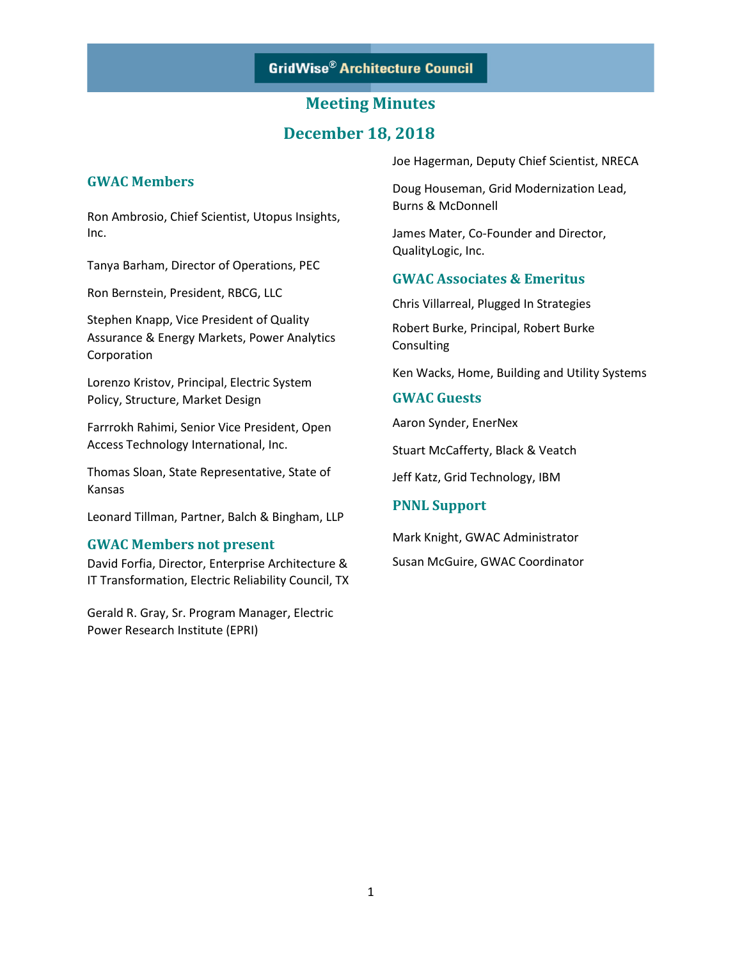## **December 18, 2018**

## **GWAC Members**

Ron Ambrosio, Chief Scientist, Utopus Insights, Inc.

Tanya Barham, Director of Operations, PEC

Ron Bernstein, President, RBCG, LLC

Stephen Knapp, Vice President of Quality Assurance & Energy Markets, Power Analytics Corporation

Lorenzo Kristov, Principal, Electric System Policy, Structure, Market Design

Farrrokh Rahimi, Senior Vice President, Open Access Technology International, Inc.

Thomas Sloan, State Representative, State of Kansas

Leonard Tillman, Partner, Balch & Bingham, LLP

#### **GWAC Members not present**

David Forfia, Director, Enterprise Architecture & IT Transformation, Electric Reliability Council, TX

Gerald R. Gray, Sr. Program Manager, Electric Power Research Institute (EPRI)

Joe Hagerman, Deputy Chief Scientist, NRECA

Doug Houseman, Grid Modernization Lead, Burns & McDonnell

James Mater, Co-Founder and Director, QualityLogic, Inc.

### **GWAC Associates & Emeritus**

Chris Villarreal, Plugged In Strategies

Robert Burke, Principal, Robert Burke Consulting

Ken Wacks, Home, Building and Utility Systems

### **GWAC Guests**

Aaron Synder, EnerNex

Stuart McCafferty, Black & Veatch

Jeff Katz, Grid Technology, IBM

#### **PNNL Support**

Mark Knight, GWAC Administrator Susan McGuire, GWAC Coordinator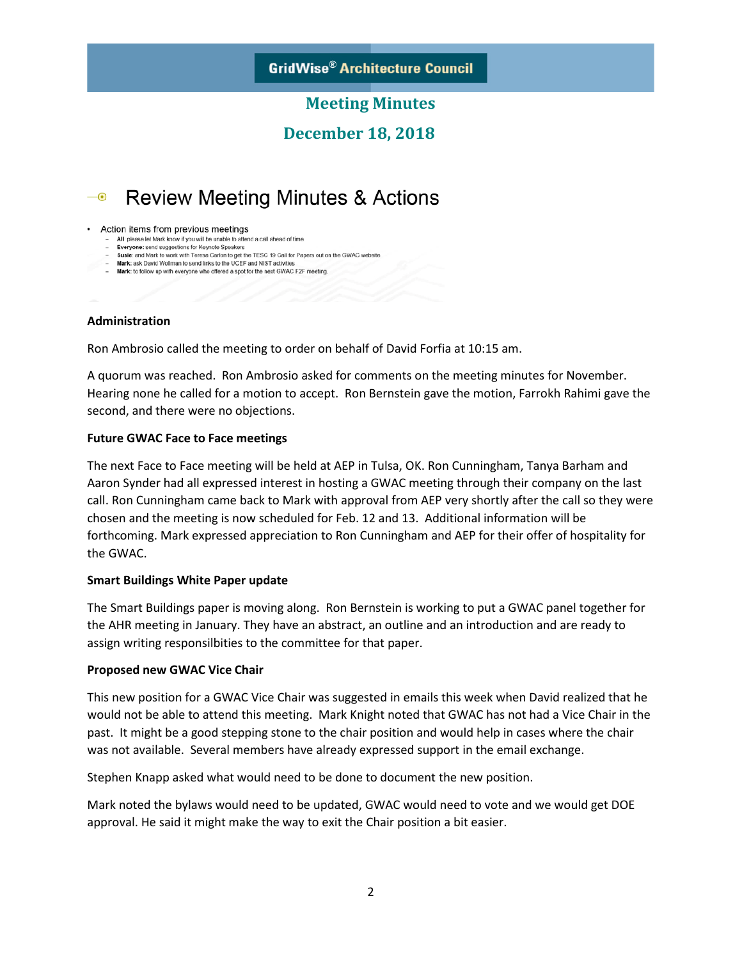## **December 18, 2018**

#### **Review Meeting Minutes & Actions**  $-\odot$

Action items from previous meetings

- All: please let Mark know if you will be unable to attend a call ahead of time.<br>- Everyone: send suggestions for Keynote Speakers
- Susie: and Mark to work with Teresa Carlon to get the TESC 19 Call for Papers out on the GWAC website.
- Mark: ask David Wollman to send links to the UCEF and NIST activities - Mark: to follow up with everyone who offered a spot for the next GWAC F2F meeting.

## **Administration**

Ron Ambrosio called the meeting to order on behalf of David Forfia at 10:15 am.

A quorum was reached. Ron Ambrosio asked for comments on the meeting minutes for November. Hearing none he called for a motion to accept. Ron Bernstein gave the motion, Farrokh Rahimi gave the second, and there were no objections.

### **Future GWAC Face to Face meetings**

The next Face to Face meeting will be held at AEP in Tulsa, OK. Ron Cunningham, Tanya Barham and Aaron Synder had all expressed interest in hosting a GWAC meeting through their company on the last call. Ron Cunningham came back to Mark with approval from AEP very shortly after the call so they were chosen and the meeting is now scheduled for Feb. 12 and 13. Additional information will be forthcoming. Mark expressed appreciation to Ron Cunningham and AEP for their offer of hospitality for the GWAC.

## **Smart Buildings White Paper update**

The Smart Buildings paper is moving along. Ron Bernstein is working to put a GWAC panel together for the AHR meeting in January. They have an abstract, an outline and an introduction and are ready to assign writing responsilbities to the committee for that paper.

#### **Proposed new GWAC Vice Chair**

This new position for a GWAC Vice Chair was suggested in emails this week when David realized that he would not be able to attend this meeting. Mark Knight noted that GWAC has not had a Vice Chair in the past. It might be a good stepping stone to the chair position and would help in cases where the chair was not available. Several members have already expressed support in the email exchange.

Stephen Knapp asked what would need to be done to document the new position.

Mark noted the bylaws would need to be updated, GWAC would need to vote and we would get DOE approval. He said it might make the way to exit the Chair position a bit easier.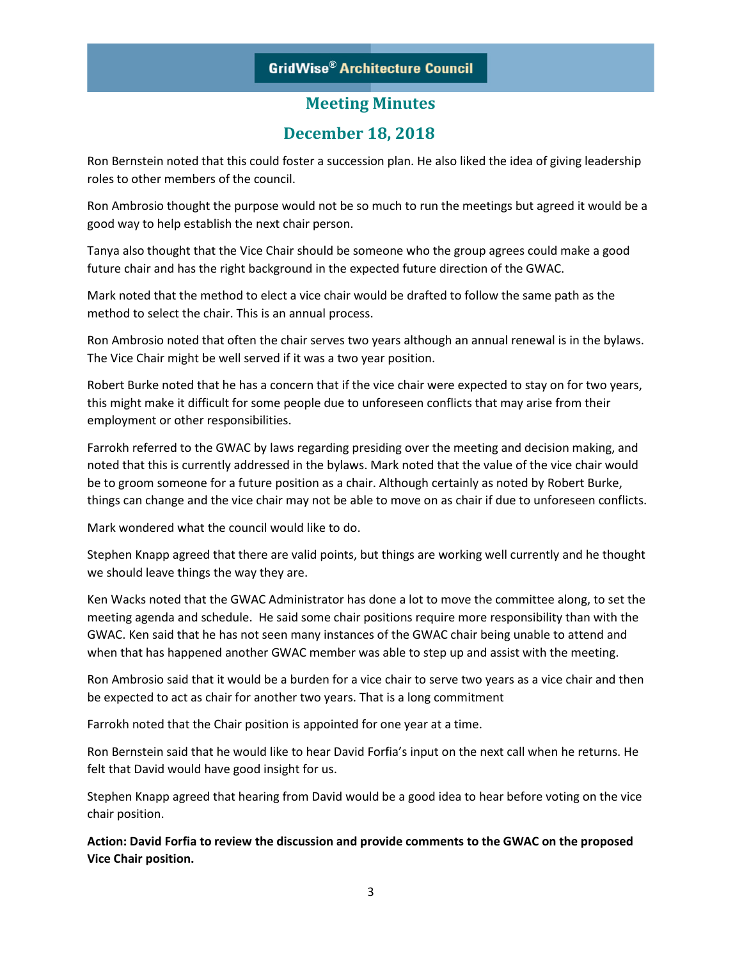# **GridWise® Architecture Council**

# **Meeting Minutes**

## **December 18, 2018**

Ron Bernstein noted that this could foster a succession plan. He also liked the idea of giving leadership roles to other members of the council.

Ron Ambrosio thought the purpose would not be so much to run the meetings but agreed it would be a good way to help establish the next chair person.

Tanya also thought that the Vice Chair should be someone who the group agrees could make a good future chair and has the right background in the expected future direction of the GWAC.

Mark noted that the method to elect a vice chair would be drafted to follow the same path as the method to select the chair. This is an annual process.

Ron Ambrosio noted that often the chair serves two years although an annual renewal is in the bylaws. The Vice Chair might be well served if it was a two year position.

Robert Burke noted that he has a concern that if the vice chair were expected to stay on for two years, this might make it difficult for some people due to unforeseen conflicts that may arise from their employment or other responsibilities.

Farrokh referred to the GWAC by laws regarding presiding over the meeting and decision making, and noted that this is currently addressed in the bylaws. Mark noted that the value of the vice chair would be to groom someone for a future position as a chair. Although certainly as noted by Robert Burke, things can change and the vice chair may not be able to move on as chair if due to unforeseen conflicts.

Mark wondered what the council would like to do.

Stephen Knapp agreed that there are valid points, but things are working well currently and he thought we should leave things the way they are.

Ken Wacks noted that the GWAC Administrator has done a lot to move the committee along, to set the meeting agenda and schedule. He said some chair positions require more responsibility than with the GWAC. Ken said that he has not seen many instances of the GWAC chair being unable to attend and when that has happened another GWAC member was able to step up and assist with the meeting.

Ron Ambrosio said that it would be a burden for a vice chair to serve two years as a vice chair and then be expected to act as chair for another two years. That is a long commitment

Farrokh noted that the Chair position is appointed for one year at a time.

Ron Bernstein said that he would like to hear David Forfia's input on the next call when he returns. He felt that David would have good insight for us.

Stephen Knapp agreed that hearing from David would be a good idea to hear before voting on the vice chair position.

**Action: David Forfia to review the discussion and provide comments to the GWAC on the proposed Vice Chair position.**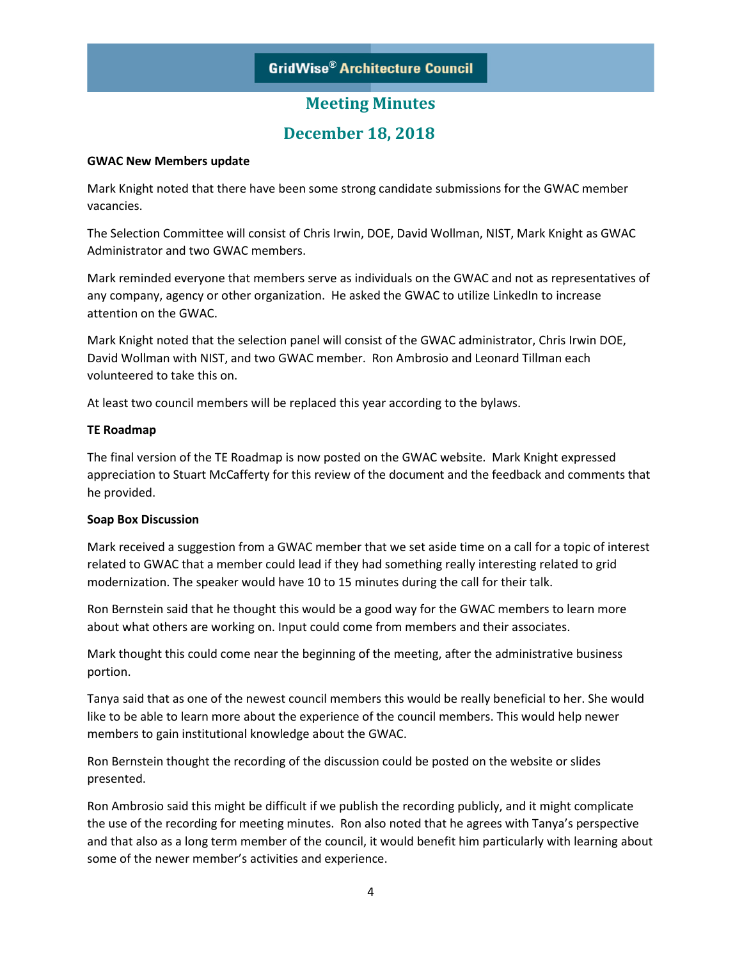# **December 18, 2018**

## **GWAC New Members update**

Mark Knight noted that there have been some strong candidate submissions for the GWAC member vacancies.

The Selection Committee will consist of Chris Irwin, DOE, David Wollman, NIST, Mark Knight as GWAC Administrator and two GWAC members.

Mark reminded everyone that members serve as individuals on the GWAC and not as representatives of any company, agency or other organization. He asked the GWAC to utilize LinkedIn to increase attention on the GWAC.

Mark Knight noted that the selection panel will consist of the GWAC administrator, Chris Irwin DOE, David Wollman with NIST, and two GWAC member. Ron Ambrosio and Leonard Tillman each volunteered to take this on.

At least two council members will be replaced this year according to the bylaws.

### **TE Roadmap**

The final version of the TE Roadmap is now posted on the GWAC website. Mark Knight expressed appreciation to Stuart McCafferty for this review of the document and the feedback and comments that he provided.

## **Soap Box Discussion**

Mark received a suggestion from a GWAC member that we set aside time on a call for a topic of interest related to GWAC that a member could lead if they had something really interesting related to grid modernization. The speaker would have 10 to 15 minutes during the call for their talk.

Ron Bernstein said that he thought this would be a good way for the GWAC members to learn more about what others are working on. Input could come from members and their associates.

Mark thought this could come near the beginning of the meeting, after the administrative business portion.

Tanya said that as one of the newest council members this would be really beneficial to her. She would like to be able to learn more about the experience of the council members. This would help newer members to gain institutional knowledge about the GWAC.

Ron Bernstein thought the recording of the discussion could be posted on the website or slides presented.

Ron Ambrosio said this might be difficult if we publish the recording publicly, and it might complicate the use of the recording for meeting minutes. Ron also noted that he agrees with Tanya's perspective and that also as a long term member of the council, it would benefit him particularly with learning about some of the newer member's activities and experience.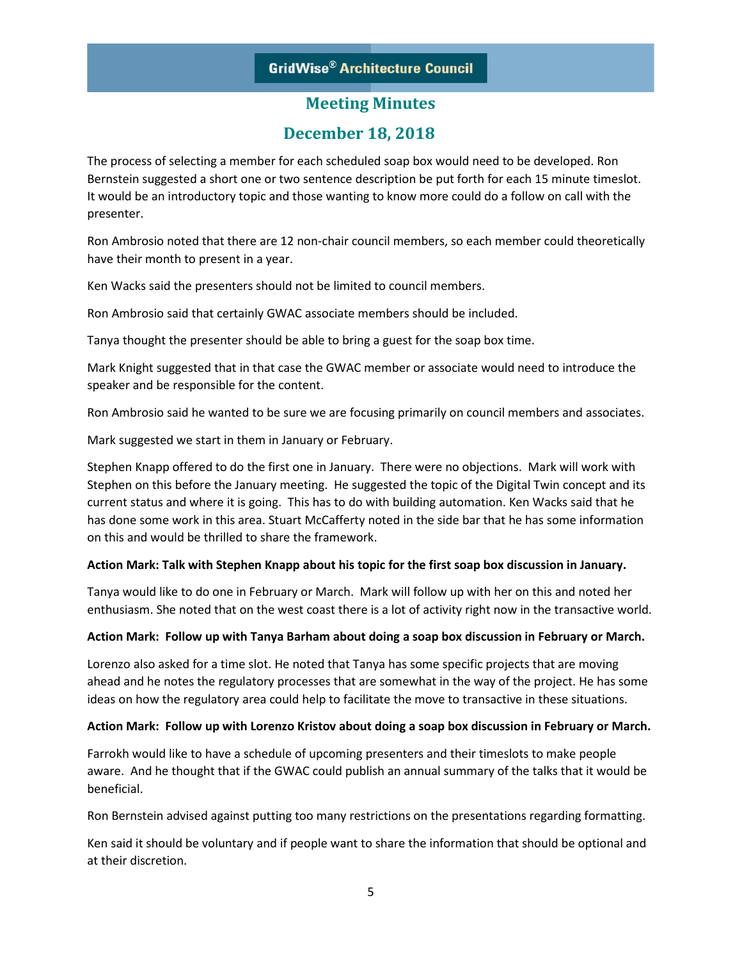# **GridWise® Architecture Council**

## **Meeting Minutes**

## **December 18, 2018**

The process of selecting a member for each scheduled soap box would need to be developed. Ron Bernstein suggested a short one or two sentence description be put forth for each 15 minute timeslot. It would be an introductory topic and those wanting to know more could do a follow on call with the presenter.

Ron Ambrosio noted that there are 12 non-chair council members, so each member could theoretically have their month to present in a year.

Ken Wacks said the presenters should not be limited to council members.

Ron Ambrosio said that certainly GWAC associate members should be included.

Tanya thought the presenter should be able to bring a guest for the soap box time.

Mark Knight suggested that in that case the GWAC member or associate would need to introduce the speaker and be responsible for the content.

Ron Ambrosio said he wanted to be sure we are focusing primarily on council members and associates.

Mark suggested we start in them in January or February.

Stephen Knapp offered to do the first one in January. There were no objections. Mark will work with Stephen on this before the January meeting. He suggested the topic of the Digital Twin concept and its current status and where it is going. This has to do with building automation. Ken Wacks said that he has done some work in this area. Stuart McCafferty noted in the side bar that he has some information on this and would be thrilled to share the framework.

#### **Action Mark: Talk with Stephen Knapp about his topic for the first soap box discussion in January.**

Tanya would like to do one in February or March. Mark will follow up with her on this and noted her enthusiasm. She noted that on the west coast there is a lot of activity right now in the transactive world.

## **Action Mark: Follow up with Tanya Barham about doing a soap box discussion in February or March.**

Lorenzo also asked for a time slot. He noted that Tanya has some specific projects that are moving ahead and he notes the regulatory processes that are somewhat in the way of the project. He has some ideas on how the regulatory area could help to facilitate the move to transactive in these situations.

## **Action Mark: Follow up with Lorenzo Kristov about doing a soap box discussion in February or March.**

Farrokh would like to have a schedule of upcoming presenters and their timeslots to make people aware. And he thought that if the GWAC could publish an annual summary of the talks that it would be beneficial.

Ron Bernstein advised against putting too many restrictions on the presentations regarding formatting.

Ken said it should be voluntary and if people want to share the information that should be optional and at their discretion.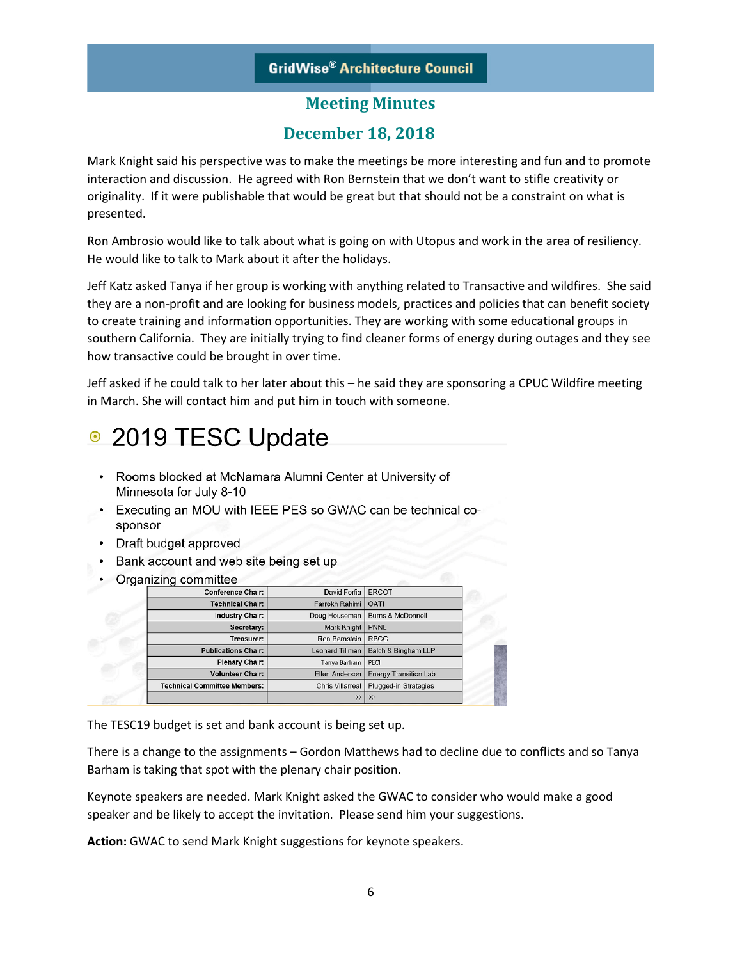# **December 18, 2018**

Mark Knight said his perspective was to make the meetings be more interesting and fun and to promote interaction and discussion. He agreed with Ron Bernstein that we don't want to stifle creativity or originality. If it were publishable that would be great but that should not be a constraint on what is presented.

Ron Ambrosio would like to talk about what is going on with Utopus and work in the area of resiliency. He would like to talk to Mark about it after the holidays.

Jeff Katz asked Tanya if her group is working with anything related to Transactive and wildfires. She said they are a non-profit and are looking for business models, practices and policies that can benefit society to create training and information opportunities. They are working with some educational groups in southern California. They are initially trying to find cleaner forms of energy during outages and they see how transactive could be brought in over time.

Jeff asked if he could talk to her later about this – he said they are sponsoring a CPUC Wildfire meeting in March. She will contact him and put him in touch with someone.

# • 2019 TESC Update

- Rooms blocked at McNamara Alumni Center at University of Minnesota for July 8-10
- Executing an MOU with IEEE PES so GWAC can be technical cosponsor
- Draft budget approved
- Bank account and web site being set up
- Organizing committee

| <b>Conference Chair:</b>            | David Forfia            | <b>ERCOT</b>                 |
|-------------------------------------|-------------------------|------------------------------|
| <b>Technical Chair:</b>             | Farrokh Rahimi          | <b>OATI</b>                  |
| <b>Industry Chair:</b>              | Doug Houseman           | <b>Burns &amp; McDonnell</b> |
| Secretary:                          | <b>Mark Knight</b>      | <b>PNNL</b>                  |
| Treasurer:                          | Ron Bernstein           | <b>RBCG</b>                  |
| <b>Publications Chair:</b>          | <b>Leonard Tillman</b>  | Balch & Bingham LLP          |
| <b>Plenary Chair:</b>               | Tanya Barham            | PECI                         |
| <b>Volunteer Chair:</b>             | <b>Ellen Anderson</b>   | <b>Energy Transition Lab</b> |
| <b>Technical Committee Members:</b> | <b>Chris Villarreal</b> | Plugged-in Strategies        |
|                                     | ??                      | -??                          |

The TESC19 budget is set and bank account is being set up.

There is a change to the assignments – Gordon Matthews had to decline due to conflicts and so Tanya Barham is taking that spot with the plenary chair position.

Keynote speakers are needed. Mark Knight asked the GWAC to consider who would make a good speaker and be likely to accept the invitation. Please send him your suggestions.

**Action:** GWAC to send Mark Knight suggestions for keynote speakers.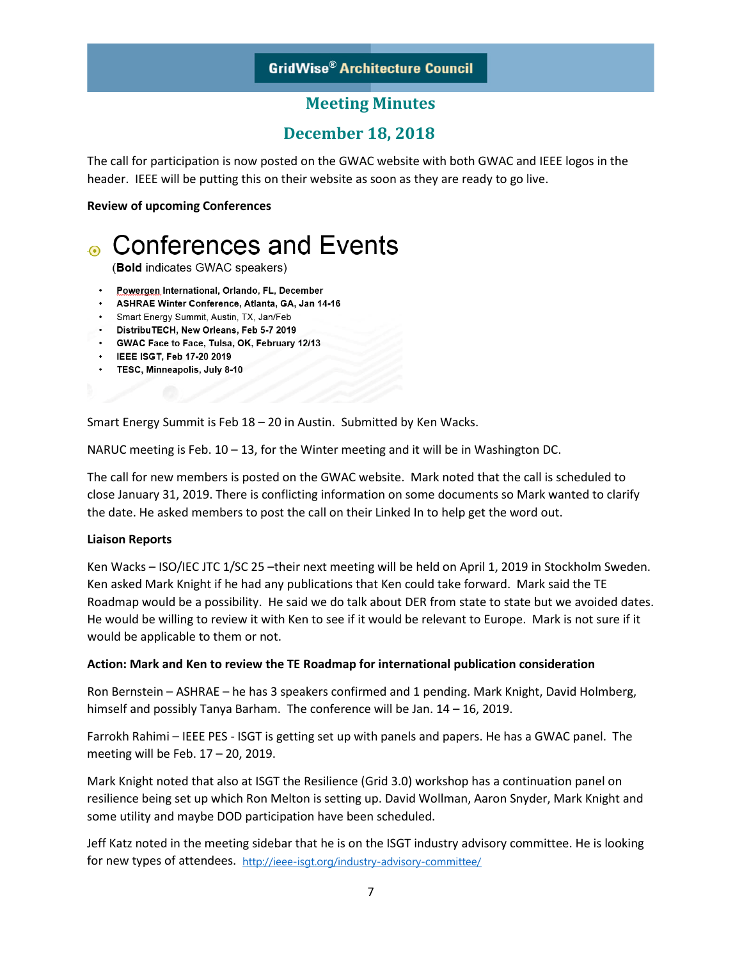## **GridWise® Architecture Council**

## **Meeting Minutes**

## **December 18, 2018**

The call for participation is now posted on the GWAC website with both GWAC and IEEE logos in the header. IEEE will be putting this on their website as soon as they are ready to go live.

#### **Review of upcoming Conferences**



· TESC, Minneapolis, July 8-10

Smart Energy Summit is Feb 18 – 20 in Austin. Submitted by Ken Wacks.

NARUC meeting is Feb.  $10 - 13$ , for the Winter meeting and it will be in Washington DC.

The call for new members is posted on the GWAC website. Mark noted that the call is scheduled to close January 31, 2019. There is conflicting information on some documents so Mark wanted to clarify the date. He asked members to post the call on their Linked In to help get the word out.

#### **Liaison Reports**

Ken Wacks – ISO/IEC JTC 1/SC 25 –their next meeting will be held on April 1, 2019 in Stockholm Sweden. Ken asked Mark Knight if he had any publications that Ken could take forward. Mark said the TE Roadmap would be a possibility. He said we do talk about DER from state to state but we avoided dates. He would be willing to review it with Ken to see if it would be relevant to Europe. Mark is not sure if it would be applicable to them or not.

#### **Action: Mark and Ken to review the TE Roadmap for international publication consideration**

Ron Bernstein – ASHRAE – he has 3 speakers confirmed and 1 pending. Mark Knight, David Holmberg, himself and possibly Tanya Barham. The conference will be Jan. 14 – 16, 2019.

Farrokh Rahimi – IEEE PES - ISGT is getting set up with panels and papers. He has a GWAC panel. The meeting will be Feb. 17 – 20, 2019.

Mark Knight noted that also at ISGT the Resilience (Grid 3.0) workshop has a continuation panel on resilience being set up which Ron Melton is setting up. David Wollman, Aaron Snyder, Mark Knight and some utility and maybe DOD participation have been scheduled.

Jeff Katz noted in the meeting sidebar that he is on the ISGT industry advisory committee. He is looking for new types of attendees. <http://ieee-isgt.org/industry-advisory-committee/>